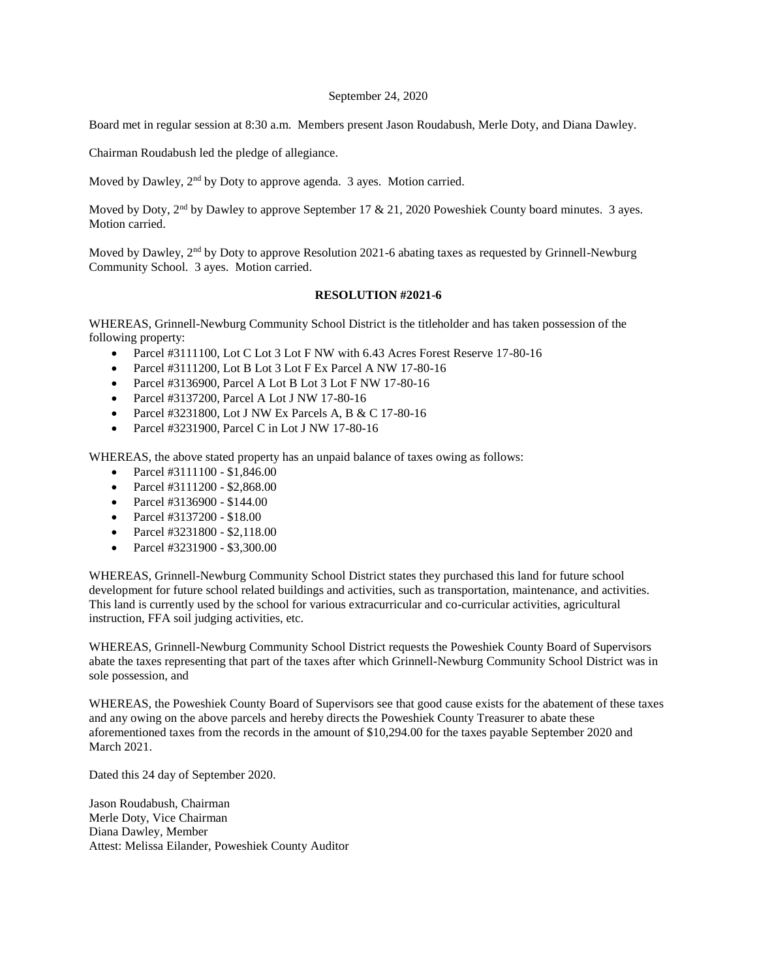## September 24, 2020

Board met in regular session at 8:30 a.m. Members present Jason Roudabush, Merle Doty, and Diana Dawley.

Chairman Roudabush led the pledge of allegiance.

Moved by Dawley, 2<sup>nd</sup> by Doty to approve agenda. 3 ayes. Motion carried.

Moved by Doty, 2<sup>nd</sup> by Dawley to approve September 17 & 21, 2020 Poweshiek County board minutes. 3 ayes. Motion carried.

Moved by Dawley, 2<sup>nd</sup> by Doty to approve Resolution 2021-6 abating taxes as requested by Grinnell-Newburg Community School. 3 ayes. Motion carried.

## **RESOLUTION #2021-6**

WHEREAS, Grinnell-Newburg Community School District is the titleholder and has taken possession of the following property:

- Parcel #3111100, Lot C Lot 3 Lot F NW with 6.43 Acres Forest Reserve 17-80-16
- Parcel #3111200, Lot B Lot 3 Lot F Ex Parcel A NW 17-80-16
- Parcel #3136900, Parcel A Lot B Lot 3 Lot F NW 17-80-16
- Parcel #3137200, Parcel A Lot J NW 17-80-16
- Parcel #3231800, Lot J NW Ex Parcels A, B & C 17-80-16
- Parcel #3231900, Parcel C in Lot J NW 17-80-16

WHEREAS, the above stated property has an unpaid balance of taxes owing as follows:

- Parcel #3111100 \$1,846.00
- Parcel  $#3111200 $2,868.00$
- Parcel #3136900 \$144.00
- Parcel #3137200 \$18.00
- Parcel #3231800 \$2,118.00
- Parcel #3231900 \$3,300.00

WHEREAS, Grinnell-Newburg Community School District states they purchased this land for future school development for future school related buildings and activities, such as transportation, maintenance, and activities. This land is currently used by the school for various extracurricular and co-curricular activities, agricultural instruction, FFA soil judging activities, etc.

WHEREAS, Grinnell-Newburg Community School District requests the Poweshiek County Board of Supervisors abate the taxes representing that part of the taxes after which Grinnell-Newburg Community School District was in sole possession, and

WHEREAS, the Poweshiek County Board of Supervisors see that good cause exists for the abatement of these taxes and any owing on the above parcels and hereby directs the Poweshiek County Treasurer to abate these aforementioned taxes from the records in the amount of \$10,294.00 for the taxes payable September 2020 and March 2021.

Dated this 24 day of September 2020.

Jason Roudabush, Chairman Merle Doty, Vice Chairman Diana Dawley, Member Attest: Melissa Eilander, Poweshiek County Auditor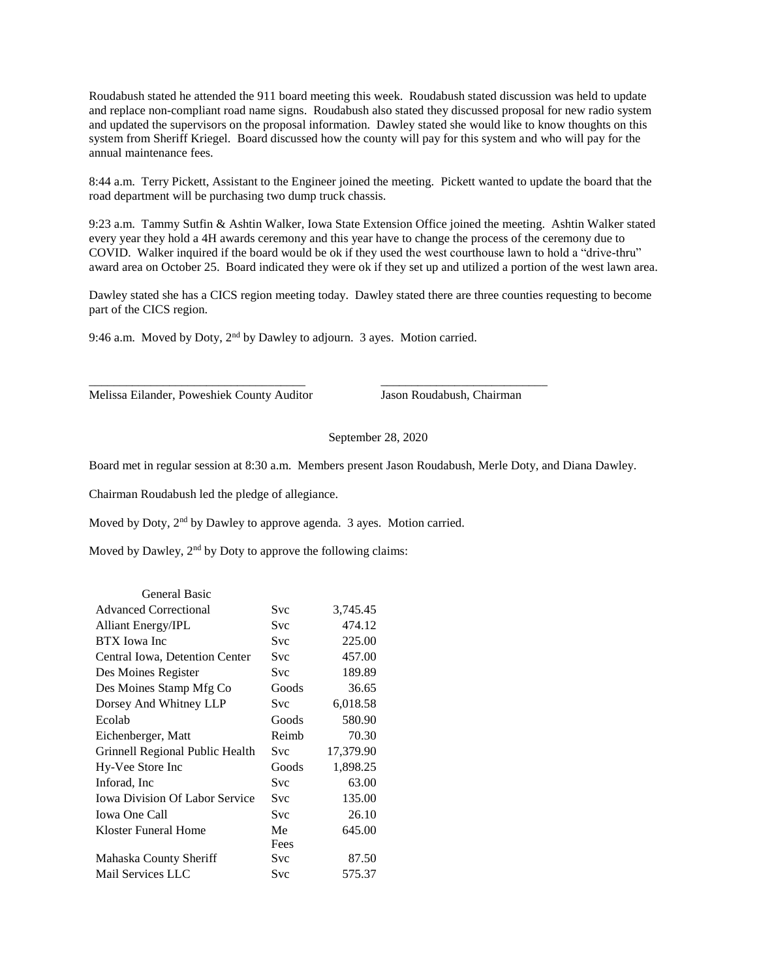Roudabush stated he attended the 911 board meeting this week. Roudabush stated discussion was held to update and replace non-compliant road name signs. Roudabush also stated they discussed proposal for new radio system and updated the supervisors on the proposal information. Dawley stated she would like to know thoughts on this system from Sheriff Kriegel. Board discussed how the county will pay for this system and who will pay for the annual maintenance fees.

8:44 a.m. Terry Pickett, Assistant to the Engineer joined the meeting. Pickett wanted to update the board that the road department will be purchasing two dump truck chassis.

9:23 a.m. Tammy Sutfin & Ashtin Walker, Iowa State Extension Office joined the meeting. Ashtin Walker stated every year they hold a 4H awards ceremony and this year have to change the process of the ceremony due to COVID. Walker inquired if the board would be ok if they used the west courthouse lawn to hold a "drive-thru" award area on October 25. Board indicated they were ok if they set up and utilized a portion of the west lawn area.

Dawley stated she has a CICS region meeting today. Dawley stated there are three counties requesting to become part of the CICS region.

9:46 a.m. Moved by Doty, 2<sup>nd</sup> by Dawley to adjourn. 3 ayes. Motion carried.

\_\_\_\_\_\_\_\_\_\_\_\_\_\_\_\_\_\_\_\_\_\_\_\_\_\_\_\_\_\_\_\_\_\_\_ \_\_\_\_\_\_\_\_\_\_\_\_\_\_\_\_\_\_\_\_\_\_\_\_\_\_\_

Melissa Eilander, Poweshiek County Auditor Jason Roudabush, Chairman

September 28, 2020

Board met in regular session at 8:30 a.m. Members present Jason Roudabush, Merle Doty, and Diana Dawley.

Chairman Roudabush led the pledge of allegiance.

Moved by Doty, 2nd by Dawley to approve agenda. 3 ayes. Motion carried.

Moved by Dawley,  $2<sup>nd</sup>$  by Doty to approve the following claims:

| <b>General Basic</b>                  |       |           |
|---------------------------------------|-------|-----------|
| <b>Advanced Correctional</b>          | Svc   | 3,745.45  |
| <b>Alliant Energy/IPL</b>             | Svc   | 474.12    |
| <b>BTX</b> Iowa Inc                   | Svc   | 225.00    |
| Central Iowa, Detention Center        | Svc   | 457.00    |
| Des Moines Register                   | Svc   | 189.89    |
| Des Moines Stamp Mfg Co               | Goods | 36.65     |
| Dorsey And Whitney LLP                | Svc   | 6,018.58  |
| Ecolah                                | Goods | 580.90    |
| Eichenberger, Matt                    | Reimb | 70.30     |
| Grinnell Regional Public Health       | Svc   | 17,379.90 |
| Hy-Vee Store Inc                      | Goods | 1,898.25  |
| Inforad, Inc.                         | Svc   | 63.00     |
| <b>Iowa Division Of Labor Service</b> | Svc   | 135.00    |
| <b>Iowa One Call</b>                  | Svc   | 26.10     |
| Kloster Funeral Home                  | Me    | 645.00    |
|                                       | Fees  |           |
| Mahaska County Sheriff                | Svc   | 87.50     |
| Mail Services LLC                     | Svc   | 575.37    |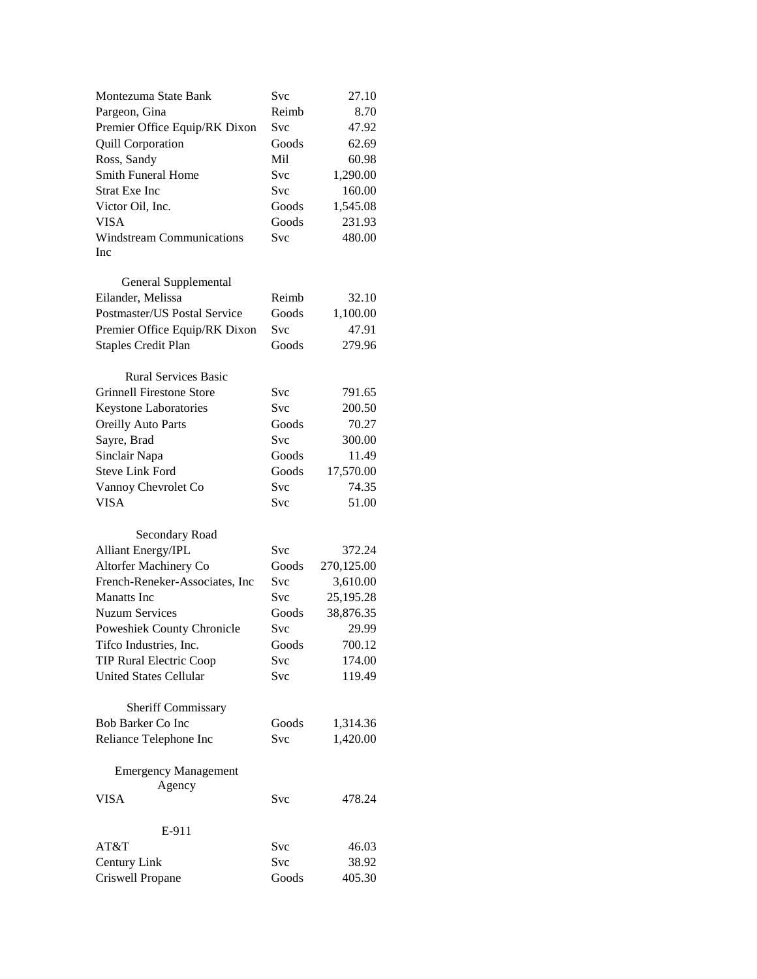| Montezuma State Bank                  | <b>Svc</b> | 27.10      |
|---------------------------------------|------------|------------|
| Pargeon, Gina                         | Reimb      | 8.70       |
| Premier Office Equip/RK Dixon         | Svc        | 47.92      |
| <b>Quill Corporation</b>              | Goods      | 62.69      |
| Ross, Sandy                           | Mil        | 60.98      |
| <b>Smith Funeral Home</b>             | Svc        | 1,290.00   |
| <b>Strat Exe Inc</b>                  | Svc        | 160.00     |
| Victor Oil, Inc.                      | Goods      | 1,545.08   |
| <b>VISA</b>                           | Goods      | 231.93     |
| <b>Windstream Communications</b>      | Svc        | 480.00     |
| Inc                                   |            |            |
| General Supplemental                  |            |            |
| Eilander, Melissa                     | Reimb      | 32.10      |
| Postmaster/US Postal Service          | Goods      | 1,100.00   |
|                                       | Svc        | 47.91      |
| Premier Office Equip/RK Dixon         |            |            |
| <b>Staples Credit Plan</b>            | Goods      | 279.96     |
| <b>Rural Services Basic</b>           |            |            |
| <b>Grinnell Firestone Store</b>       | Svc        | 791.65     |
| <b>Keystone Laboratories</b>          | <b>Svc</b> | 200.50     |
| <b>Oreilly Auto Parts</b>             | Goods      | 70.27      |
| Sayre, Brad                           | Svc        | 300.00     |
| Sinclair Napa                         | Goods      | 11.49      |
| <b>Steve Link Ford</b>                | Goods      | 17,570.00  |
| Vannoy Chevrolet Co                   | Svc        | 74.35      |
| <b>VISA</b>                           | Svc        | 51.00      |
|                                       |            |            |
| Secondary Road                        |            |            |
| <b>Alliant Energy/IPL</b>             | Svc        | 372.24     |
| Altorfer Machinery Co                 | Goods      | 270,125.00 |
| French-Reneker-Associates, Inc        | Svc        | 3,610.00   |
| <b>Manatts</b> Inc.                   | Svc        | 25,195.28  |
| <b>Nuzum Services</b>                 | Goods      | 38,876.35  |
| Poweshiek County Chronicle            | Svc        | 29.99      |
| Tifco Industries, Inc.                | Goods      | 700.12     |
| TIP Rural Electric Coop               | <b>Svc</b> | 174.00     |
| <b>United States Cellular</b>         | Svc        | 119.49     |
|                                       |            |            |
| <b>Sheriff Commissary</b>             |            |            |
| Bob Barker Co Inc                     | Goods      | 1,314.36   |
| Reliance Telephone Inc                | <b>Svc</b> | 1,420.00   |
|                                       |            |            |
| <b>Emergency Management</b><br>Agency |            |            |
| <b>VISA</b>                           | Svc        | 478.24     |
|                                       |            |            |
| E-911                                 |            |            |
| AT&T                                  | Svc        | 46.03      |
| Century Link                          | Svc        | 38.92      |
| Criswell Propane                      | Goods      | 405.30     |
|                                       |            |            |